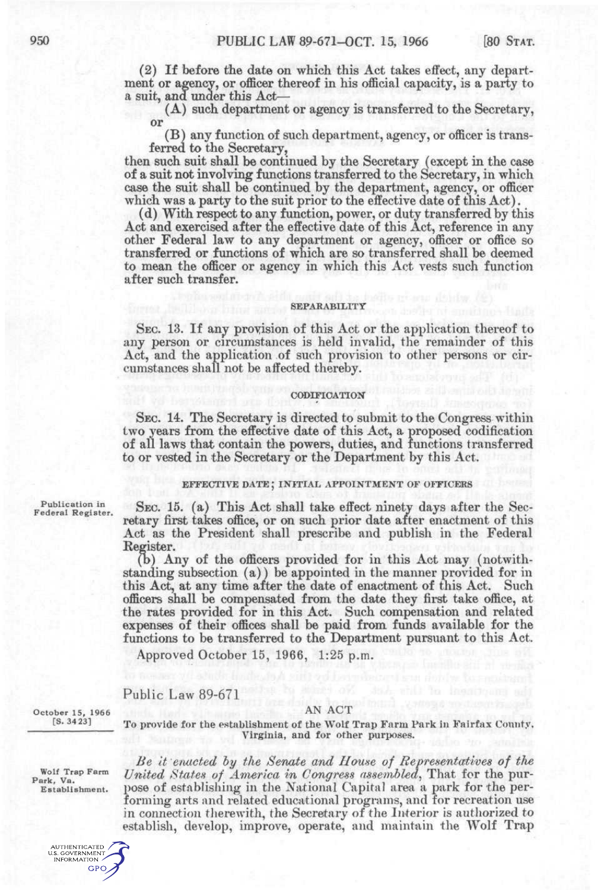(2) If before the date on which this Act takes effect, any department or agency, or officer thereof in his official capacity, is a party to a suit, and under this Act—

(A) such department or agency is transferred to the Secretary, or

(B) any function of such department, agency, or officer is transferred to the Secretary,

then such suit shall be continued by the Secretary (except in the case of a suit not involving functions transferred to the Secretary, in which case the suit shall be continued by the department, agency, or officer which was a party to the suit prior to the effective date of this Act).

(d) With respect to any function, power, or duty transferred by this Act and exercised after the effective date of this Act, reference in any other Federal law to any department or agency, officer or office so transferred or functions of which are so transferred shall be deemed to mean the officer or agency in which this Act vests such function after such transfer.

## **SEPARABILITY**

SEC. 13. If any provision of this Act or the application thereof to any person or circumstances is held invalid, the remainder of this Act, and the application of such provision to other persons or circumstances shall not be affected thereby.

#### CODIFICATION

SEC. 14. The Secretary is directed to submit to the Congress within two years from the effective date of this Act, a proposed codification of all laws that contain the powers, duties, and functions transferred to or vested in the Secretary or the Department by this Act.

### EFFECTIVE DATE; INITIAL APPOINTMENT OF OFFICERS

Publication in Federal Register.

SEC. 15. (a) This Act shall take effect ninety days after the Secretary first takes office, or on such prior date after enactment of this Act as the President shall prescribe and publish in the Federal Register.

(b) Any of the officers provided for in this Act may (notwithstanding subsection (a)) be appointed in the manner provided for in this Act, at any time after the date of enactment of this Act. Such officers shall be compensated from the date they first take office, at the rates provided for in this Act. Such compensation and related expenses of their offices shall be paid from funds available for the functions to be transferred to the Department pursuant to this Act.

Approved October 15, 1966, 1:25 p.m.

# Public Law 89-671

October 15, 1966 [S. 34 23]

To provide for the establishment of the Wolf Trap Farm Park in Fairfax Connty, Virginia, and for other purposes.

Wolf Trap Farm Park, Va. Establishment.



AN ACT

*Be It enacted hy the Senate and House of Representatives of the United /States of America in Congress assembled^* That for the purpose of establishing in the National Capital area a park for the performing arts and related educational programs, and for recreation use in connection therewith, the Secretary of the Interior is authorized to establish, develop, improve, operate, and maintain the Wolf Trap